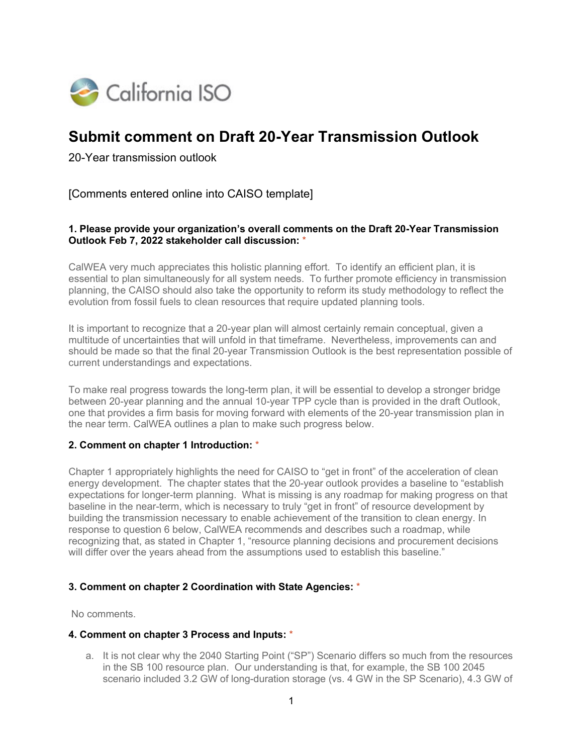

# **Submit comment on Draft 20-Year Transmission Outlook**

20-Year transmission outlook

[Comments entered online into CAISO template]

## **1. Please provide your organization's overall comments on the Draft 20-Year Transmission Outlook Feb 7, 2022 stakeholder call discussion:** \*

CalWEA very much appreciates this holistic planning effort. To identify an efficient plan, it is essential to plan simultaneously for all system needs. To further promote efficiency in transmission planning, the CAISO should also take the opportunity to reform its study methodology to reflect the evolution from fossil fuels to clean resources that require updated planning tools.

It is important to recognize that a 20-year plan will almost certainly remain conceptual, given a multitude of uncertainties that will unfold in that timeframe. Nevertheless, improvements can and should be made so that the final 20-year Transmission Outlook is the best representation possible of current understandings and expectations.

To make real progress towards the long-term plan, it will be essential to develop a stronger bridge between 20-year planning and the annual 10-year TPP cycle than is provided in the draft Outlook, one that provides a firm basis for moving forward with elements of the 20-year transmission plan in the near term. CalWEA outlines a plan to make such progress below.

### **2. Comment on chapter 1 Introduction:** \*

Chapter 1 appropriately highlights the need for CAISO to "get in front" of the acceleration of clean energy development. The chapter states that the 20-year outlook provides a baseline to "establish expectations for longer-term planning. What is missing is any roadmap for making progress on that baseline in the near-term, which is necessary to truly "get in front" of resource development by building the transmission necessary to enable achievement of the transition to clean energy. In response to question 6 below, CalWEA recommends and describes such a roadmap, while recognizing that, as stated in Chapter 1, "resource planning decisions and procurement decisions will differ over the years ahead from the assumptions used to establish this baseline."

### **3. Comment on chapter 2 Coordination with State Agencies:** \*

No comments.

#### **4. Comment on chapter 3 Process and Inputs:** \*

a. It is not clear why the 2040 Starting Point ("SP") Scenario differs so much from the resources in the SB 100 resource plan. Our understanding is that, for example, the SB 100 2045 scenario included 3.2 GW of long-duration storage (vs. 4 GW in the SP Scenario), 4.3 GW of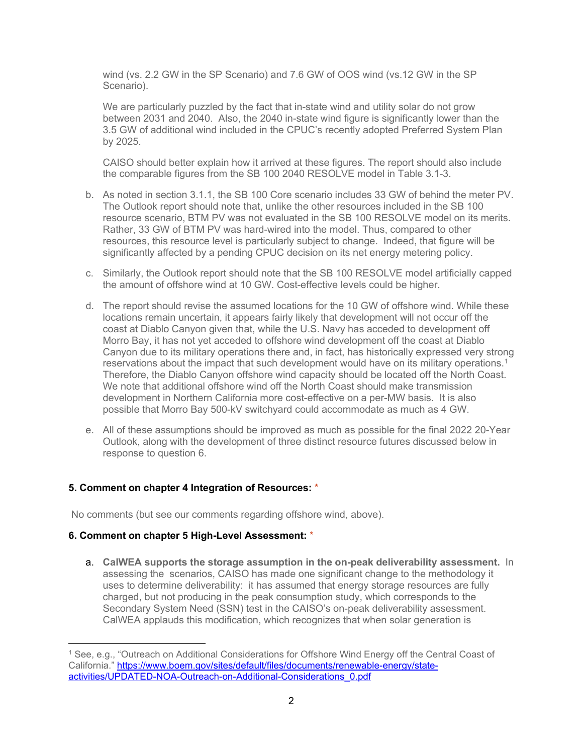wind (vs. 2.2 GW in the SP Scenario) and 7.6 GW of OOS wind (vs.12 GW in the SP Scenario).

We are particularly puzzled by the fact that in-state wind and utility solar do not grow between 2031 and 2040. Also, the 2040 in-state wind figure is significantly lower than the 3.5 GW of additional wind included in the CPUC's recently adopted Preferred System Plan by 2025.

CAISO should better explain how it arrived at these figures. The report should also include the comparable figures from the SB 100 2040 RESOLVE model in Table 3.1-3.

- b. As noted in section 3.1.1, the SB 100 Core scenario includes 33 GW of behind the meter PV. The Outlook report should note that, unlike the other resources included in the SB 100 resource scenario, BTM PV was not evaluated in the SB 100 RESOLVE model on its merits. Rather, 33 GW of BTM PV was hard-wired into the model. Thus, compared to other resources, this resource level is particularly subject to change. Indeed, that figure will be significantly affected by a pending CPUC decision on its net energy metering policy.
- c. Similarly, the Outlook report should note that the SB 100 RESOLVE model artificially capped the amount of offshore wind at 10 GW. Cost-effective levels could be higher.
- d. The report should revise the assumed locations for the 10 GW of offshore wind. While these locations remain uncertain, it appears fairly likely that development will not occur off the coast at Diablo Canyon given that, while the U.S. Navy has acceded to development off Morro Bay, it has not yet acceded to offshore wind development off the coast at Diablo Canyon due to its military operations there and, in fact, has historically expressed very strong reservations about the impact that such development would have on its military operations.<sup>[1](#page-1-0)</sup> Therefore, the Diablo Canyon offshore wind capacity should be located off the North Coast. We note that additional offshore wind off the North Coast should make transmission development in Northern California more cost-effective on a per-MW basis. It is also possible that Morro Bay 500-kV switchyard could accommodate as much as 4 GW.
- e. All of these assumptions should be improved as much as possible for the final 2022 20-Year Outlook, along with the development of three distinct resource futures discussed below in response to question 6.

### **5. Comment on chapter 4 Integration of Resources:** \*

No comments (but see our comments regarding offshore wind, above).

### **6. Comment on chapter 5 High-Level Assessment:** \*

a. **CalWEA supports the storage assumption in the on-peak deliverability assessment.** In assessing the scenarios, CAISO has made one significant change to the methodology it uses to determine deliverability: it has assumed that energy storage resources are fully charged, but not producing in the peak consumption study, which corresponds to the Secondary System Need (SSN) test in the CAISO's on-peak deliverability assessment. CalWEA applauds this modification, which recognizes that when solar generation is

<span id="page-1-0"></span><sup>1</sup> See, e.g., "Outreach on Additional Considerations for Offshore Wind Energy off the Central Coast of California." [https://www.boem.gov/sites/default/files/documents/renewable-energy/state](https://www.boem.gov/sites/default/files/documents/renewable-energy/state-activities/UPDATED-NOA-Outreach-on-Additional-Considerations_0.pdf)[activities/UPDATED-NOA-Outreach-on-Additional-Considerations\\_0.pdf](https://www.boem.gov/sites/default/files/documents/renewable-energy/state-activities/UPDATED-NOA-Outreach-on-Additional-Considerations_0.pdf)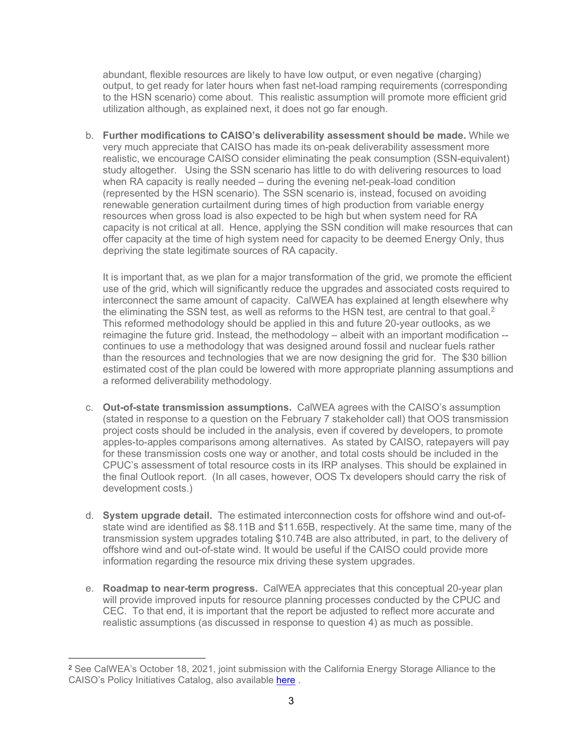abundant, flexible resources are likely to have low output, or even negative (charging) output, to get ready for later hours when fast net-load ramping requirements (corresponding to the HSN scenario) come about. This realistic assumption will promote more efficient grid utilization although, as explained next, it does not go far enough.

b. **Further modifications to CAISO's deliverability assessment should be made.** While we very much appreciate that CAISO has made its on-peak deliverability assessment more realistic, we encourage CAISO consider eliminating the peak consumption (SSN-equivalent) study altogether. Using the SSN scenario has little to do with delivering resources to load when RA capacity is really needed – during the evening net-peak-load condition (represented by the HSN scenario). The SSN scenario is, instead, focused on avoiding renewable generation curtailment during times of high production from variable energy resources when gross load is also expected to be high but when system need for RA capacity is not critical at all. Hence, applying the SSN condition will make resources that can offer capacity at the time of high system need for capacity to be deemed Energy Only, thus depriving the state legitimate sources of RA capacity.

It is important that, as we plan for a major transformation of the grid, we promote the efficient use of the grid, which will significantly reduce the upgrades and associated costs required to interconnect the same amount of capacity. CalWEA has explained at length elsewhere why the eliminating the SSN test, as well as reforms to the HSN test, are central to that goal. $2$ This reformed methodology should be applied in this and future 20-year outlooks, as we reimagine the future grid. Instead, the methodology – albeit with an important modification - continues to use a methodology that was designed around fossil and nuclear fuels rather than the resources and technologies that we are now designing the grid for. The \$30 billion estimated cost of the plan could be lowered with more appropriate planning assumptions and a reformed deliverability methodology.

- c. **Out-of-state transmission assumptions.** CalWEA agrees with the CAISO's assumption (stated in response to a question on the February 7 stakeholder call) that OOS transmission project costs should be included in the analysis, even if covered by developers, to promote apples-to-apples comparisons among alternatives. As stated by CAISO, ratepayers will pay for these transmission costs one way or another, and total costs should be included in the CPUC's assessment of total resource costs in its IRP analyses. This should be explained in the final Outlook report. (In all cases, however, OOS Tx developers should carry the risk of development costs.)
- d. **System upgrade detail.** The estimated interconnection costs for offshore wind and out-ofstate wind are identified as \$8.11B and \$11.65B, respectively. At the same time, many of the transmission system upgrades totaling \$10.74B are also attributed, in part, to the delivery of offshore wind and out-of-state wind. It would be useful if the CAISO could provide more information regarding the resource mix driving these system upgrades.
- e. **Roadmap to near-term progress.** CalWEA appreciates that this conceptual 20-year plan will provide improved inputs for resource planning processes conducted by the CPUC and CEC. To that end, it is important that the report be adjusted to reflect more accurate and realistic assumptions (as discussed in response to question 4) as much as possible.

<span id="page-2-0"></span><sup>2</sup> See CalWEA's October 18, 2021, joint submission with the California Energy Storage Alliance to the CAISO's Policy Initiatives Catalog, also available [here](https://www.calwea.org/public-filing/stakeholder-initiatives-proposal-cesa-deliverability-reform).